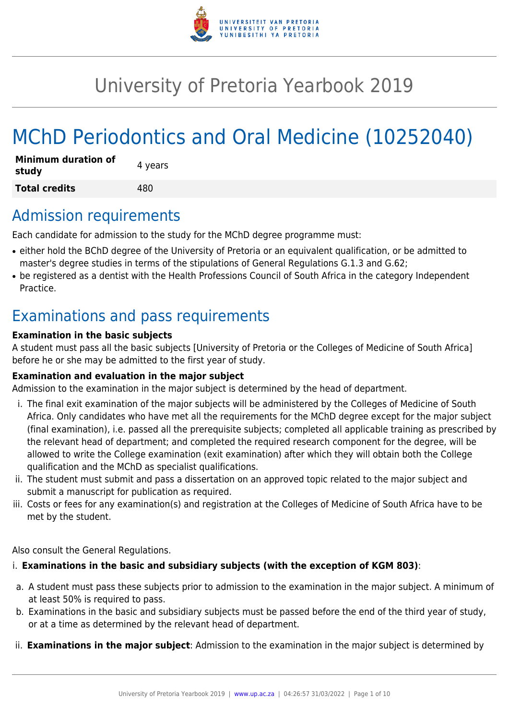

# University of Pretoria Yearbook 2019

# MChD Periodontics and Oral Medicine (10252040)

| <b>Minimum duration of</b><br>study | 4 years |
|-------------------------------------|---------|
| <b>Total credits</b>                | 480     |

### Admission requirements

Each candidate for admission to the study for the MChD degree programme must:

- either hold the BChD degree of the University of Pretoria or an equivalent qualification, or be admitted to master's degree studies in terms of the stipulations of General Regulations G.1.3 and G.62;
- be registered as a dentist with the Health Professions Council of South Africa in the category Independent Practice.

# Examinations and pass requirements

#### **Examination in the basic subjects**

A student must pass all the basic subjects [University of Pretoria or the Colleges of Medicine of South Africa] before he or she may be admitted to the first year of study.

#### **Examination and evaluation in the major subject**

Admission to the examination in the major subject is determined by the head of department.

- i. The final exit examination of the major subjects will be administered by the Colleges of Medicine of South Africa. Only candidates who have met all the requirements for the MChD degree except for the major subject (final examination), i.e. passed all the prerequisite subjects; completed all applicable training as prescribed by the relevant head of department; and completed the required research component for the degree, will be allowed to write the College examination (exit examination) after which they will obtain both the College qualification and the MChD as specialist qualifications.
- ii. The student must submit and pass a dissertation on an approved topic related to the major subject and submit a manuscript for publication as required.
- iii. Costs or fees for any examination(s) and registration at the Colleges of Medicine of South Africa have to be met by the student.

Also consult the General Regulations.

#### i. **Examinations in the basic and subsidiary subjects (with the exception of KGM 803)**:

- a. A student must pass these subjects prior to admission to the examination in the major subject. A minimum of at least 50% is required to pass.
- b. Examinations in the basic and subsidiary subjects must be passed before the end of the third year of study, or at a time as determined by the relevant head of department.
- ii. **Examinations in the major subject**: Admission to the examination in the major subject is determined by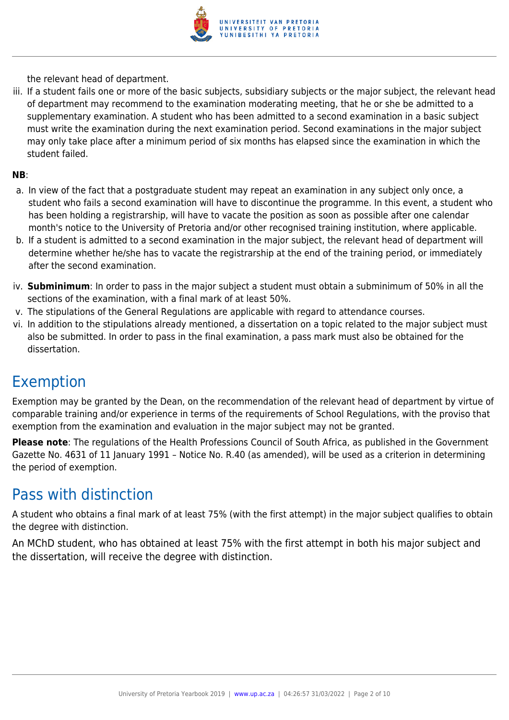

the relevant head of department.

iii. If a student fails one or more of the basic subjects, subsidiary subjects or the major subject, the relevant head of department may recommend to the examination moderating meeting, that he or she be admitted to a supplementary examination. A student who has been admitted to a second examination in a basic subject must write the examination during the next examination period. Second examinations in the major subject may only take place after a minimum period of six months has elapsed since the examination in which the student failed.

#### **NB**:

- a. In view of the fact that a postgraduate student may repeat an examination in any subject only once, a student who fails a second examination will have to discontinue the programme. In this event, a student who has been holding a registrarship, will have to vacate the position as soon as possible after one calendar month's notice to the University of Pretoria and/or other recognised training institution, where applicable.
- b. If a student is admitted to a second examination in the major subject, the relevant head of department will determine whether he/she has to vacate the registrarship at the end of the training period, or immediately after the second examination.
- iv. **Subminimum**: In order to pass in the major subject a student must obtain a subminimum of 50% in all the sections of the examination, with a final mark of at least 50%.
- v. The stipulations of the General Regulations are applicable with regard to attendance courses.
- vi. In addition to the stipulations already mentioned, a dissertation on a topic related to the major subject must also be submitted. In order to pass in the final examination, a pass mark must also be obtained for the dissertation.

### Exemption

Exemption may be granted by the Dean, on the recommendation of the relevant head of department by virtue of comparable training and/or experience in terms of the requirements of School Regulations, with the proviso that exemption from the examination and evaluation in the major subject may not be granted.

**Please note**: The regulations of the Health Professions Council of South Africa, as published in the Government Gazette No. 4631 of 11 January 1991 – Notice No. R.40 (as amended), will be used as a criterion in determining the period of exemption.

### Pass with distinction

A student who obtains a final mark of at least 75% (with the first attempt) in the major subject qualifies to obtain the degree with distinction.

An MChD student, who has obtained at least 75% with the first attempt in both his major subject and the dissertation, will receive the degree with distinction.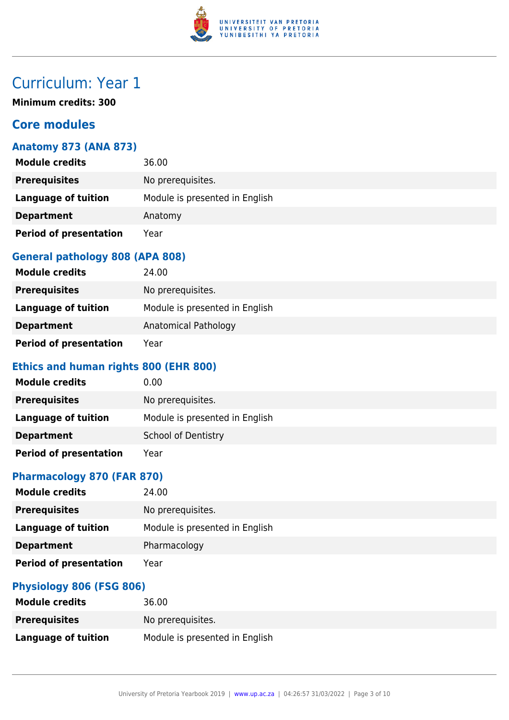

# Curriculum: Year 1

**Minimum credits: 300**

#### **Core modules**

#### **Anatomy 873 (ANA 873)**

| <b>Module credits</b>         | 36.00                          |
|-------------------------------|--------------------------------|
| <b>Prerequisites</b>          | No prerequisites.              |
| Language of tuition           | Module is presented in English |
| <b>Department</b>             | Anatomy                        |
| <b>Period of presentation</b> | Year                           |

#### **General pathology 808 (APA 808)**

| <b>Module credits</b>         | 24.00                          |
|-------------------------------|--------------------------------|
| <b>Prerequisites</b>          | No prerequisites.              |
| Language of tuition           | Module is presented in English |
| <b>Department</b>             | Anatomical Pathology           |
| <b>Period of presentation</b> | Year                           |

#### **Ethics and human rights 800 (EHR 800)**

| <b>Module credits</b>         | 0.00                           |
|-------------------------------|--------------------------------|
| <b>Prerequisites</b>          | No prerequisites.              |
| Language of tuition           | Module is presented in English |
| <b>Department</b>             | <b>School of Dentistry</b>     |
| <b>Period of presentation</b> | Year                           |

#### **Pharmacology 870 (FAR 870)**

| <b>Module credits</b>         | 24.00                          |
|-------------------------------|--------------------------------|
| <b>Prerequisites</b>          | No prerequisites.              |
| <b>Language of tuition</b>    | Module is presented in English |
| <b>Department</b>             | Pharmacology                   |
| <b>Period of presentation</b> | Year                           |

#### **Physiology 806 (FSG 806)**

| <b>Module credits</b> | 36.00                          |
|-----------------------|--------------------------------|
| <b>Prerequisites</b>  | No prerequisites.              |
| Language of tuition   | Module is presented in English |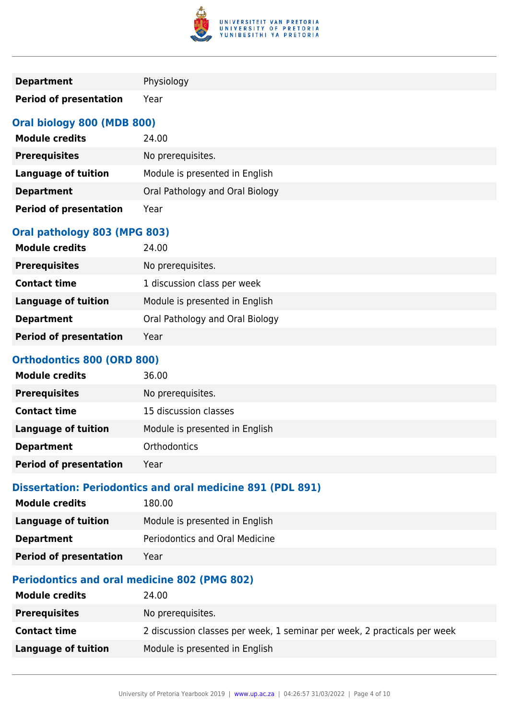

| <b>Department</b>             | Physiology                      |
|-------------------------------|---------------------------------|
| <b>Period of presentation</b> | Year                            |
| Oral biology 800 (MDB 800)    |                                 |
| <b>Module credits</b>         | 24.00                           |
| <b>Prerequisites</b>          | No prerequisites.               |
| <b>Language of tuition</b>    | Module is presented in English  |
| <b>Department</b>             | Oral Pathology and Oral Biology |
| <b>Period of presentation</b> | Year                            |
| Oral pathology 803 (MPG 803)  |                                 |
| <b>Module credits</b>         | 24.00                           |
| <b>Draranuicitac</b>          | No proroquicitos                |

| <b>Prerequisites</b>          | No prerequisites.               |
|-------------------------------|---------------------------------|
| <b>Contact time</b>           | 1 discussion class per week     |
| Language of tuition           | Module is presented in English  |
| <b>Department</b>             | Oral Pathology and Oral Biology |
| <b>Period of presentation</b> | Year                            |

#### **Orthodontics 800 (ORD 800)**

| <b>Module credits</b>         | 36.00                          |
|-------------------------------|--------------------------------|
| <b>Prerequisites</b>          | No prerequisites.              |
| <b>Contact time</b>           | 15 discussion classes          |
| <b>Language of tuition</b>    | Module is presented in English |
| <b>Department</b>             | <b>Orthodontics</b>            |
| <b>Period of presentation</b> | Year                           |

#### **Dissertation: Periodontics and oral medicine 891 (PDL 891)**

| <b>Module credits</b>         | 180.00                         |
|-------------------------------|--------------------------------|
| <b>Language of tuition</b>    | Module is presented in English |
| <b>Department</b>             | Periodontics and Oral Medicine |
| <b>Period of presentation</b> | Year                           |

#### **Periodontics and oral medicine 802 (PMG 802)**

| <b>Module credits</b> | 24.00                                                                    |
|-----------------------|--------------------------------------------------------------------------|
| <b>Prerequisites</b>  | No prerequisites.                                                        |
| <b>Contact time</b>   | 2 discussion classes per week, 1 seminar per week, 2 practicals per week |
| Language of tuition   | Module is presented in English                                           |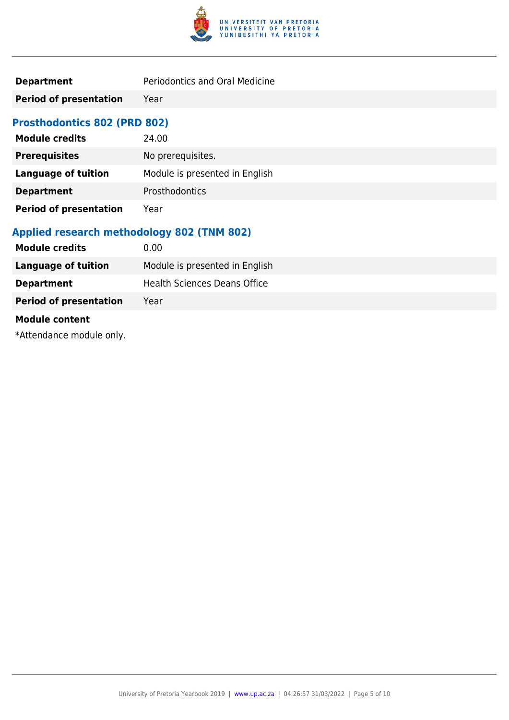

**Period of presentation** Year

#### **Prosthodontics 802 (PRD 802)**

| <b>Module credits</b>         | 24.00                          |
|-------------------------------|--------------------------------|
| <b>Prerequisites</b>          | No prerequisites.              |
| <b>Language of tuition</b>    | Module is presented in English |
| <b>Department</b>             | Prosthodontics                 |
| <b>Period of presentation</b> | Year                           |

#### **Applied research methodology 802 (TNM 802)**

| <b>Module credits</b>         | 0.00                           |
|-------------------------------|--------------------------------|
| <b>Language of tuition</b>    | Module is presented in English |
| <b>Department</b>             | Health Sciences Deans Office   |
| <b>Period of presentation</b> | Year                           |
| <b>Module content</b>         |                                |
|                               |                                |

\*Attendance module only.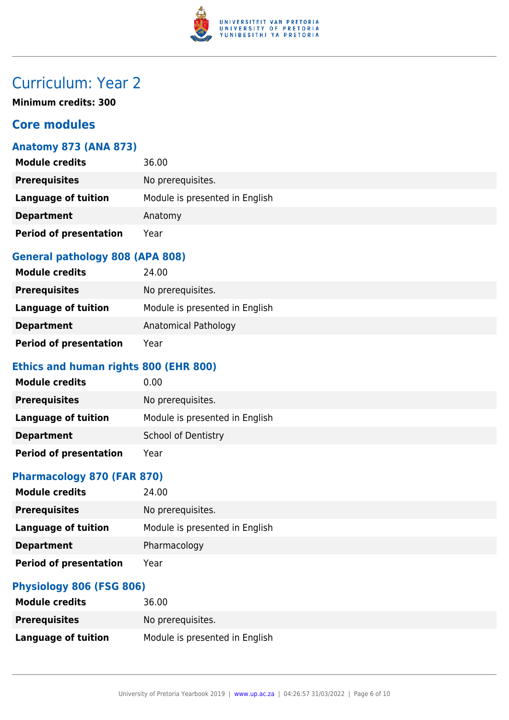

# Curriculum: Year 2

**Minimum credits: 300**

#### **Core modules**

#### **Anatomy 873 (ANA 873)**

| <b>Module credits</b>         | 36.00                          |
|-------------------------------|--------------------------------|
| <b>Prerequisites</b>          | No prerequisites.              |
| <b>Language of tuition</b>    | Module is presented in English |
| <b>Department</b>             | Anatomy                        |
| <b>Period of presentation</b> | Year                           |

#### **General pathology 808 (APA 808)**

| <b>Module credits</b>         | 24.00                          |
|-------------------------------|--------------------------------|
| <b>Prerequisites</b>          | No prerequisites.              |
| Language of tuition           | Module is presented in English |
| <b>Department</b>             | Anatomical Pathology           |
| <b>Period of presentation</b> | Year                           |

#### **Ethics and human rights 800 (EHR 800)**

| <b>Module credits</b>         | 0.00                           |
|-------------------------------|--------------------------------|
| <b>Prerequisites</b>          | No prerequisites.              |
| Language of tuition           | Module is presented in English |
| <b>Department</b>             | <b>School of Dentistry</b>     |
| <b>Period of presentation</b> | Year                           |

#### **Pharmacology 870 (FAR 870)**

| <b>Module credits</b>         | 24.00                          |
|-------------------------------|--------------------------------|
| <b>Prerequisites</b>          | No prerequisites.              |
| Language of tuition           | Module is presented in English |
| <b>Department</b>             | Pharmacology                   |
| <b>Period of presentation</b> | Year                           |

#### **Physiology 806 (FSG 806)**

| <b>Module credits</b> | 36.00                          |
|-----------------------|--------------------------------|
| <b>Prerequisites</b>  | No prerequisites.              |
| Language of tuition   | Module is presented in English |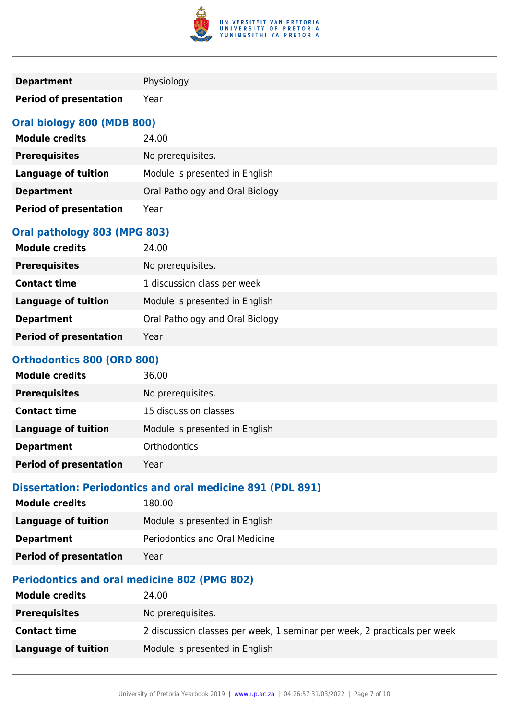

| <b>Department</b>             | Physiology                      |
|-------------------------------|---------------------------------|
| <b>Period of presentation</b> | Year                            |
| Oral biology 800 (MDB 800)    |                                 |
| <b>Module credits</b>         | 24.00                           |
| <b>Prerequisites</b>          | No prerequisites.               |
| <b>Language of tuition</b>    | Module is presented in English  |
| <b>Department</b>             | Oral Pathology and Oral Biology |
| <b>Period of presentation</b> | Year                            |
| Oral pathology 803 (MPG 803)  |                                 |
| <b>Module credits</b>         | 24.00                           |
|                               |                                 |

| <b>Prerequisites</b>          | No prerequisites.               |
|-------------------------------|---------------------------------|
| <b>Contact time</b>           | 1 discussion class per week     |
| <b>Language of tuition</b>    | Module is presented in English  |
| <b>Department</b>             | Oral Pathology and Oral Biology |
| <b>Period of presentation</b> | Year                            |

#### **Orthodontics 800 (ORD 800)**

| <b>Module credits</b>         | 36.00                          |
|-------------------------------|--------------------------------|
| <b>Prerequisites</b>          | No prerequisites.              |
| <b>Contact time</b>           | 15 discussion classes          |
| <b>Language of tuition</b>    | Module is presented in English |
| <b>Department</b>             | <b>Orthodontics</b>            |
| <b>Period of presentation</b> | Year                           |

#### **Dissertation: Periodontics and oral medicine 891 (PDL 891)**

| <b>Module credits</b>         | 180.00                         |
|-------------------------------|--------------------------------|
| <b>Language of tuition</b>    | Module is presented in English |
| <b>Department</b>             | Periodontics and Oral Medicine |
| <b>Period of presentation</b> | Year                           |

#### **Periodontics and oral medicine 802 (PMG 802)**

| <b>Module credits</b> | 24.00                                                                    |
|-----------------------|--------------------------------------------------------------------------|
| <b>Prerequisites</b>  | No prerequisites.                                                        |
| <b>Contact time</b>   | 2 discussion classes per week, 1 seminar per week, 2 practicals per week |
| Language of tuition   | Module is presented in English                                           |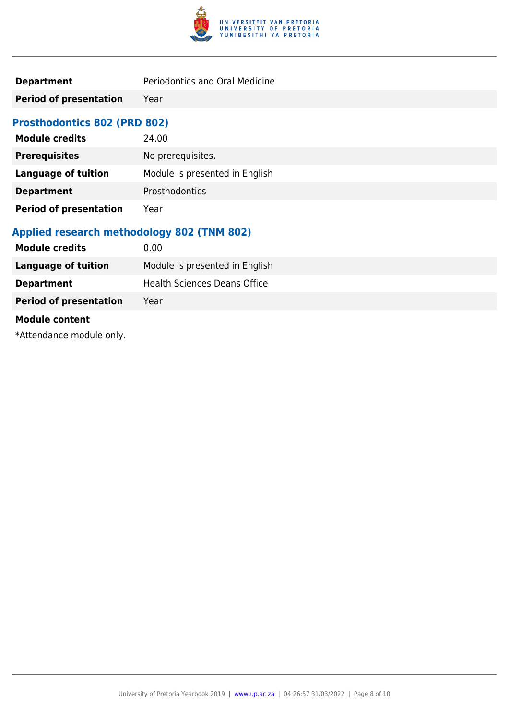

| Periodontics and Oral Medicine |
|--------------------------------|
|                                |

**Period of presentation** Year

#### **Prosthodontics 802 (PRD 802)**

| <b>Module credits</b>         | 24.00                          |
|-------------------------------|--------------------------------|
| <b>Prerequisites</b>          | No prerequisites.              |
| <b>Language of tuition</b>    | Module is presented in English |
| <b>Department</b>             | Prosthodontics                 |
| <b>Period of presentation</b> | Year                           |

#### **Applied research methodology 802 (TNM 802)**

| <b>Module credits</b>         | 0.00                           |
|-------------------------------|--------------------------------|
| <b>Language of tuition</b>    | Module is presented in English |
| <b>Department</b>             | Health Sciences Deans Office   |
| <b>Period of presentation</b> | Year                           |
| <b>Module content</b>         |                                |
|                               |                                |

\*Attendance module only.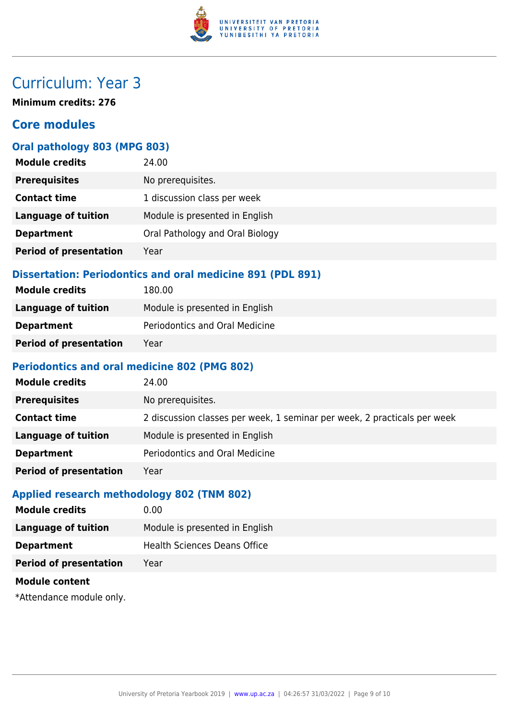

## Curriculum: Year 3

**Minimum credits: 276**

#### **Core modules**

#### **Oral pathology 803 (MPG 803)**

| <b>Module credits</b>         | 24.00                           |
|-------------------------------|---------------------------------|
| <b>Prerequisites</b>          | No prerequisites.               |
| <b>Contact time</b>           | 1 discussion class per week     |
| <b>Language of tuition</b>    | Module is presented in English  |
| <b>Department</b>             | Oral Pathology and Oral Biology |
| <b>Period of presentation</b> | Year                            |
|                               |                                 |

#### **Dissertation: Periodontics and oral medicine 891 (PDL 891)**

| <b>Module credits</b>         | 180.00                         |
|-------------------------------|--------------------------------|
| Language of tuition           | Module is presented in English |
| <b>Department</b>             | Periodontics and Oral Medicine |
| <b>Period of presentation</b> | Year                           |

#### **Periodontics and oral medicine 802 (PMG 802)**

| <b>Module credits</b>         | 24.00                                                                    |
|-------------------------------|--------------------------------------------------------------------------|
| <b>Prerequisites</b>          | No prerequisites.                                                        |
| <b>Contact time</b>           | 2 discussion classes per week, 1 seminar per week, 2 practicals per week |
| <b>Language of tuition</b>    | Module is presented in English                                           |
| <b>Department</b>             | Periodontics and Oral Medicine                                           |
| <b>Period of presentation</b> | Year                                                                     |

#### **Applied research methodology 802 (TNM 802)**

| <b>Module credits</b>         | 0.00                           |
|-------------------------------|--------------------------------|
| Language of tuition           | Module is presented in English |
| <b>Department</b>             | Health Sciences Deans Office   |
| <b>Period of presentation</b> | Year                           |
| <b>Module content</b>         |                                |

\*Attendance module only.